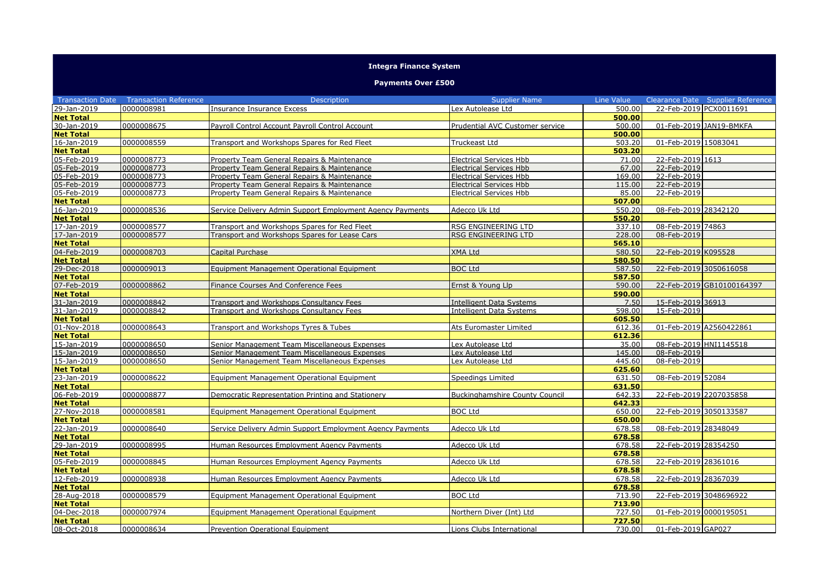## **Integra Finance System**

## **Payments Over £500**

| <b>Transaction Date</b>         | <b>Transaction Reference</b> | <b>Description</b>                                        | <b>Supplier Name</b>                  | Line Value       |                        | Clearance Date Supplier Reference |
|---------------------------------|------------------------------|-----------------------------------------------------------|---------------------------------------|------------------|------------------------|-----------------------------------|
| 29-Jan-2019                     | 0000008981                   | Insurance Insurance Excess                                | Lex Autolease Ltd                     | 500.00           | 22-Feb-2019 PCX0011691 |                                   |
| <b>Net Total</b>                |                              |                                                           |                                       | 500.00           |                        |                                   |
| 30-Jan-2019                     | 0000008675                   | Payroll Control Account Payroll Control Account           | Prudential AVC Customer service       | 500.00           |                        | 01-Feb-2019 JAN19-BMKFA           |
| <b>Net Total</b>                |                              |                                                           |                                       | 500.00           |                        |                                   |
| 16-Jan-2019                     | 0000008559                   | Transport and Workshops Spares for Red Fleet              | Truckeast Ltd                         | 503.20           | 01-Feb-2019 15083041   |                                   |
| <b>Net Total</b>                |                              |                                                           |                                       | 503.20           |                        |                                   |
| 05-Feb-2019                     | 0000008773                   | Property Team General Repairs & Maintenance               | <b>Electrical Services Hbb</b>        | 71.00            | 22-Feb-2019 1613       |                                   |
| 05-Feb-2019                     | 0000008773                   | Property Team General Repairs & Maintenance               | <b>Electrical Services Hbb</b>        | 67.00            | 22-Feb-2019            |                                   |
| 05-Feb-2019                     | 0000008773                   | Property Team General Repairs & Maintenance               | <b>Electrical Services Hbb</b>        | 169.00           | 22-Feb-2019            |                                   |
| 05-Feb-2019                     | 0000008773                   | Property Team General Repairs & Maintenance               | <b>Electrical Services Hbb</b>        | 115.00           | 22-Feb-2019            |                                   |
| 05-Feb-2019                     | 0000008773                   | Property Team General Repairs & Maintenance               | <b>Electrical Services Hbb</b>        | 85.00            | $22 - Feb - 2019$      |                                   |
| <b>Net Total</b>                |                              |                                                           |                                       | 507.00           |                        |                                   |
| 16-Jan-2019                     | 0000008536                   | Service Delivery Admin Support Employment Agency Payments | Adecco Uk Ltd                         | 550.20           | 08-Feb-2019 28342120   |                                   |
| <b>Net Total</b>                |                              |                                                           |                                       | 550.20           |                        |                                   |
| 17-Jan-2019                     | 0000008577                   | Transport and Workshops Spares for Red Fleet              | <b>RSG ENGINEERING LTD</b>            | 337.10           | 08-Feb-2019 74863      |                                   |
| 17-Jan-2019                     | 0000008577                   | Transport and Workshops Spares for Lease Cars             | RSG ENGINEERING LTD                   | 228.00           | 08-Feb-2019            |                                   |
| <b>Net Total</b>                |                              |                                                           |                                       | 565.10           |                        |                                   |
| 04-Feb-2019                     | 0000008703                   | Capital Purchase                                          | <b>XMA Ltd</b>                        | 580.50           | 22-Feb-2019 K095528    |                                   |
| <b>Net Total</b>                |                              |                                                           |                                       | 580.50           |                        |                                   |
| 29-Dec-2018                     | 0000009013                   | Equipment Management Operational Equipment                | <b>BOC Ltd</b>                        | 587.50           | 22-Feb-2019 3050616058 |                                   |
| <b>Net Total</b>                |                              |                                                           |                                       | 587.50           |                        |                                   |
| 07-Feb-2019                     | 0000008862                   | Finance Courses And Conference Fees                       | Ernst & Young Llp                     | 590.00           |                        | 22-Feb-2019 GB10100164397         |
| <b>Net Total</b>                |                              |                                                           |                                       | 590.00           |                        |                                   |
| 31-Jan-2019                     | 0000008842                   | Transport and Workshops Consultancy Fees                  | Intelligent Data Systems              | 7.50             | 15-Feb-2019 36913      |                                   |
| 31-Jan-2019                     | 0000008842                   | Transport and Workshops Consultancy Fees                  | Intelligent Data Systems              | 598.00           | 15-Feb-2019            |                                   |
| <b>Net Total</b>                |                              |                                                           |                                       | 605.50           |                        |                                   |
| 01-Nov-2018                     | 0000008643                   | Transport and Workshops Tyres & Tubes                     | Ats Euromaster Limited                | 612.36           |                        | 01-Feb-2019 A2560422861           |
| <b>Net Total</b>                |                              |                                                           |                                       | 612.36           |                        |                                   |
| 15-Jan-2019                     | 0000008650                   | Senior Management Team Miscellaneous Expenses             | Lex Autolease Ltd                     | 35.00            | 08-Feb-2019 HNI1145518 |                                   |
| 15-Jan-2019                     | 0000008650                   | Senior Management Team Miscellaneous Expenses             | Lex Autolease Ltd                     | 145.00           | 08-Feb-2019            |                                   |
| 15-Jan-2019                     | 0000008650                   | Senior Management Team Miscellaneous Expenses             | Lex Autolease Ltd                     | 445.60           | 08-Feb-2019            |                                   |
| <b>Net Total</b>                |                              |                                                           |                                       | 625.60           |                        |                                   |
| 23-Jan-2019                     | 0000008622                   | Equipment Management Operational Equipment                | Speedings Limited                     | 631.50           | 08-Feb-2019 52084      |                                   |
| <b>Net Total</b>                |                              |                                                           |                                       | 631.50           |                        |                                   |
| 06-Feb-2019                     | 0000008877                   | Democratic Representation Printing and Stationery         | <b>Buckinghamshire County Council</b> | 642.33           | 22-Feb-2019 2207035858 |                                   |
| <b>Net Total</b>                |                              |                                                           |                                       | 642.33           |                        |                                   |
| 27-Nov-2018                     | 0000008581                   | Equipment Management Operational Equipment                | <b>BOC Ltd</b>                        | 650.00           | 22-Feb-2019 3050133587 |                                   |
| <b>Net Total</b>                |                              |                                                           |                                       | 650.00           |                        |                                   |
| 22-Jan-2019                     | 0000008640                   | Service Delivery Admin Support Employment Agency Payments | Adecco Uk Ltd                         | 678.58           | 08-Feb-2019 28348049   |                                   |
| <b>Net Total</b>                |                              |                                                           |                                       | 678.58           |                        |                                   |
| 29-Jan-2019                     | 0000008995                   | Human Resources Employment Agency Payments                | Adecco Uk Ltd                         | 678.58           | 22-Feb-2019 28354250   |                                   |
| <b>Net Total</b><br>05-Feb-2019 | 0000008845                   |                                                           |                                       | 678.58<br>678.58 | 22-Feb-2019 28361016   |                                   |
|                                 |                              | Human Resources Employment Agency Payments                | Adecco Uk Ltd                         |                  |                        |                                   |
| <b>Net Total</b><br>12-Feb-2019 |                              |                                                           |                                       | 678.58           |                        |                                   |
|                                 | 0000008938                   | Human Resources Employment Agency Payments                | Adecco Uk Ltd                         | 678.58           | 22-Feb-2019 28367039   |                                   |
| <b>Net Total</b><br>28-Aug-2018 | 0000008579                   | Equipment Management Operational Equipment                | <b>BOC Ltd</b>                        | 678.58<br>713.90 | 22-Feb-2019 3048696922 |                                   |
| <b>Net Total</b>                |                              |                                                           |                                       | 713.90           |                        |                                   |
| 04-Dec-2018                     | 0000007974                   | Equipment Management Operational Equipment                | Northern Diver (Int) Ltd              | 727.50           | 01-Feb-2019 0000195051 |                                   |
| <b>Net Total</b>                |                              |                                                           |                                       | 727.50           |                        |                                   |
| 08-Oct-2018                     | 0000008634                   | Prevention Operational Equipment                          | Lions Clubs International             | 730.00           | 01-Feb-2019 GAP027     |                                   |
|                                 |                              |                                                           |                                       |                  |                        |                                   |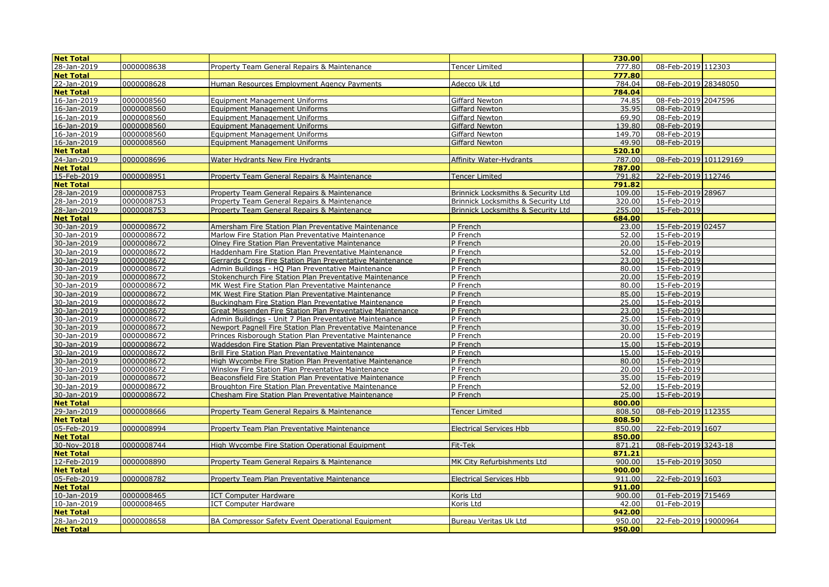| <b>Net Total</b>           |            |                                                            |                                               | 730.00 |                       |  |
|----------------------------|------------|------------------------------------------------------------|-----------------------------------------------|--------|-----------------------|--|
| 28-Jan-2019                | 0000008638 | Property Team General Repairs & Maintenance                | <b>Tencer Limited</b>                         | 777.80 | 08-Feb-2019 112303    |  |
| <b>Net Total</b>           |            |                                                            |                                               | 777.80 |                       |  |
| 22-Jan-2019                | 0000008628 | Human Resources Employment Agency Payments                 | Adecco Uk Ltd                                 | 784.04 | 08-Feb-2019 28348050  |  |
| <b>Net Total</b>           |            |                                                            |                                               | 784.04 |                       |  |
| 16-Jan-2019                | 0000008560 | <b>Equipment Management Uniforms</b>                       | Giffard Newton                                | 74.85  | 08-Feb-2019 2047596   |  |
| 16-Jan-2019                | 0000008560 | Equipment Management Uniforms                              | <b>Giffard Newton</b>                         | 35.95  | 08-Feb-2019           |  |
| 16-Jan-2019                | 0000008560 | <b>Equipment Management Uniforms</b>                       | Giffard Newton                                | 69.90  | 08-Feb-2019           |  |
| 16-Jan-2019                | 0000008560 | <b>Equipment Management Uniforms</b>                       | <b>Giffard Newton</b>                         | 139.80 | 08-Feb-2019           |  |
| 16-Jan-2019                | 0000008560 | <b>Equipment Management Uniforms</b>                       | Giffard Newton                                | 149.70 | 08-Feb-2019           |  |
| 16-Jan-2019                | 0000008560 | <b>Equipment Management Uniforms</b>                       | Giffard Newton                                | 49.90  | 08-Feb-2019           |  |
| <b>Net Total</b>           |            |                                                            |                                               | 520.10 |                       |  |
| 24-Jan-2019                | 0000008696 | Water Hydrants New Fire Hydrants                           | <b>Affinity Water-Hydrants</b>                | 787.00 | 08-Feb-2019 101129169 |  |
| <b>Net Total</b>           |            |                                                            |                                               | 787.00 |                       |  |
| 15-Feb-2019                | 0000008951 | Property Team General Repairs & Maintenance                | <b>Tencer Limited</b>                         | 791.82 | 22-Feb-2019 112746    |  |
| <b>Net Total</b>           |            |                                                            |                                               | 791.82 |                       |  |
| 28-Jan-2019                | 0000008753 | Property Team General Repairs & Maintenance                | <b>Brinnick Locksmiths &amp; Security Ltd</b> | 109.00 | 15-Feb-2019 28967     |  |
| 28-Jan-2019                | 0000008753 | Property Team General Repairs & Maintenance                | Brinnick Locksmiths & Security Ltd            | 320.00 | 15-Feb-2019           |  |
| 28-Jan-2019                | 0000008753 | Property Team General Repairs & Maintenance                | Brinnick Locksmiths & Security Ltd            | 255.00 | 15-Feb-2019           |  |
| <b>Net Total</b>           |            |                                                            |                                               | 684.00 |                       |  |
| 30-Jan-2019                | 0000008672 | Amersham Fire Station Plan Preventative Maintenance        | P French                                      | 23.00  | 15-Feb-2019 02457     |  |
| 30-Jan-2019                | 0000008672 | Marlow Fire Station Plan Preventative Maintenance          | P French                                      | 52.00  | 15-Feb-2019           |  |
| 30-Jan-2019                | 0000008672 | Olney Fire Station Plan Preventative Maintenance           | P French                                      | 20.00  | 15-Feb-2019           |  |
| 30-Jan-2019                | 0000008672 | Haddenham Fire Station Plan Preventative Maintenance       | P French                                      | 52.00  | 15-Feb-2019           |  |
| 30-Jan-2019                | 0000008672 | Gerrards Cross Fire Station Plan Preventative Maintenance  | P French                                      | 23.00  | 15-Feb-2019           |  |
| 30-Jan-2019                | 0000008672 | Admin Buildings - HQ Plan Preventative Maintenance         | P French                                      | 80.00  | 15-Feb-2019           |  |
| 30-Jan-2019                | 0000008672 | Stokenchurch Fire Station Plan Preventative Maintenance    | P French                                      | 20.00  | 15-Feb-2019           |  |
| 30-Jan-2019                | 0000008672 | MK West Fire Station Plan Preventative Maintenance         | P French                                      | 80.00  | 15-Feb-2019           |  |
| 30-Jan-2019                | 0000008672 | MK West Fire Station Plan Preventative Maintenance         | P French                                      | 85.00  | 15-Feb-2019           |  |
| 30-Jan-2019                | 0000008672 | Buckingham Fire Station Plan Preventative Maintenance      | P French                                      | 25.00  | 15-Feb-2019           |  |
| 30-Jan-2019                | 0000008672 | Great Missenden Fire Station Plan Preventative Maintenance | P French                                      | 23.00  | 15-Feb-2019           |  |
| 30-Jan-2019                | 0000008672 | Admin Buildings - Unit 7 Plan Preventative Maintenance     | P French                                      | 25.00  | 15-Feb-2019           |  |
| 30-Jan-2019                | 0000008672 | Newport Pagnell Fire Station Plan Preventative Maintenance | P French                                      | 30.00  | 15-Feb-2019           |  |
| 30-Jan-2019                | 0000008672 | Princes Risborough Station Plan Preventative Maintenance   | P French                                      | 20.00  | 15-Feb-2019           |  |
| 30-Jan-2019                | 0000008672 | Waddesdon Fire Station Plan Preventative Maintenance       | P French                                      | 15.00  | 15-Feb-2019           |  |
|                            | 0000008672 | Brill Fire Station Plan Preventative Maintenance           | P French                                      | 15.00  | 15-Feb-2019           |  |
| 30-Jan-2019                | 0000008672 | High Wycombe Fire Station Plan Preventative Maintenance    | P French                                      | 80.00  | 15-Feb-2019           |  |
| 30-Jan-2019                | 0000008672 | Winslow Fire Station Plan Preventative Maintenance         | P French                                      | 20.00  | 15-Feb-2019           |  |
| 30-Jan-2019                | 0000008672 | Beaconsfield Fire Station Plan Preventative Maintenance    | P French                                      | 35.00  | 15-Feb-2019           |  |
| 30-Jan-2019<br>30-Jan-2019 | 0000008672 | Broughton Fire Station Plan Preventative Maintenance       | P French                                      | 52.00  | 15-Feb-2019           |  |
|                            | 0000008672 | Chesham Fire Station Plan Preventative Maintenance         | P French                                      | 25.00  | 15-Feb-2019           |  |
| <b>Net Total</b>           |            |                                                            |                                               | 800.00 |                       |  |
| 29-Jan-2019                | 0000008666 | Property Team General Repairs & Maintenance                | <b>Tencer Limited</b>                         | 808.50 | 08-Feb-2019 112355    |  |
| <b>Net Total</b>           |            |                                                            |                                               | 808.50 |                       |  |
| 05-Feb-2019                | 0000008994 | Property Team Plan Preventative Maintenance                | <b>Electrical Services Hbb</b>                | 850.00 | 22-Feb-2019 1607      |  |
| <b>Net Total</b>           |            |                                                            |                                               | 850.00 |                       |  |
| 30-Nov-2018                | 0000008744 | High Wycombe Fire Station Operational Equipment            | Fit-Tek                                       | 871.21 | 08-Feb-2019 3243-18   |  |
| <b>Net Total</b>           |            |                                                            |                                               | 871.21 |                       |  |
| 12-Feb-2019                | 0000008890 | Property Team General Repairs & Maintenance                | MK City Refurbishments Ltd                    | 900.00 | 15-Feb-2019 3050      |  |
| <b>Net Total</b>           |            |                                                            |                                               | 900.00 |                       |  |
| 05-Feb-2019                | 0000008782 | Property Team Plan Preventative Maintenance                | <b>Electrical Services Hbb</b>                | 911.00 | 22-Feb-2019 1603      |  |
| <b>Net Total</b>           |            |                                                            |                                               | 911.00 |                       |  |
| 10-Jan-2019                | 0000008465 | ICT Computer Hardware                                      | Koris Ltd                                     | 900.00 | 01-Feb-2019 715469    |  |
| 10-Jan-2019                | 0000008465 | <b>ICT Computer Hardware</b>                               | Koris Ltd                                     | 42.00  | 01-Feb-2019           |  |
| <b>Net Total</b>           |            |                                                            |                                               | 942.00 |                       |  |
| 28-Jan-2019                | 0000008658 | BA Compressor Safety Event Operational Equipment           | Bureau Veritas Uk Ltd                         | 950.00 | 22-Feb-2019 19000964  |  |
| <b>Net Total</b>           |            |                                                            |                                               | 950.00 |                       |  |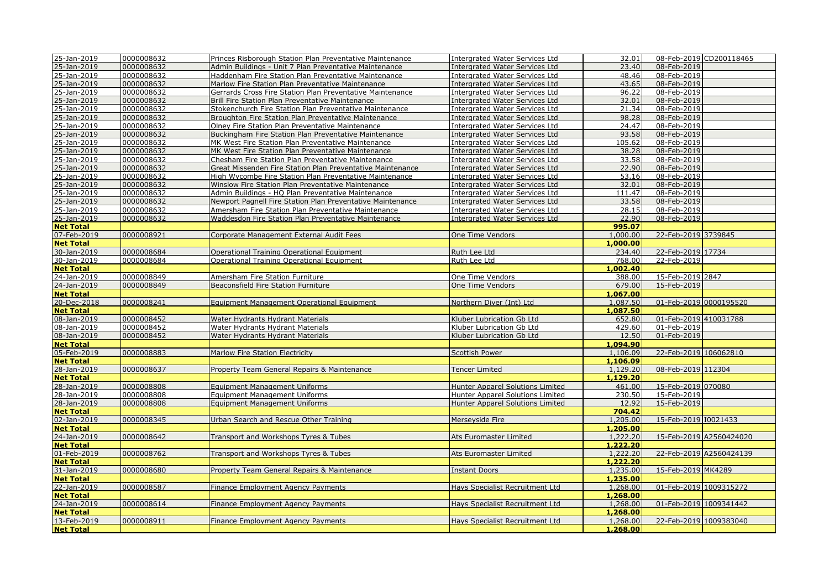| 25-Jan-2019      | 0000008632 | Princes Risborough Station Plan Preventative Maintenance   | <b>Intergrated Water Services Ltd</b>   | 32.01    |                        | 08-Feb-2019 CD200118465 |
|------------------|------------|------------------------------------------------------------|-----------------------------------------|----------|------------------------|-------------------------|
| 25-Jan-2019      | 0000008632 | Admin Buildings - Unit 7 Plan Preventative Maintenance     | Intergrated Water Services Ltd          | 23.40    | 08-Feb-2019            |                         |
| 25-Jan-2019      | 0000008632 | Haddenham Fire Station Plan Preventative Maintenance       | <b>Intergrated Water Services Ltd</b>   | 48.46    | 08-Feb-2019            |                         |
| 25-Jan-2019      | 0000008632 | Marlow Fire Station Plan Preventative Maintenance          | <b>Intergrated Water Services Ltd</b>   | 43.65    | 08-Feb-2019            |                         |
| 25-Jan-2019      | 0000008632 | Gerrards Cross Fire Station Plan Preventative Maintenance  | <b>Intergrated Water Services Ltd</b>   | 96.22    | 08-Feb-2019            |                         |
| 25-Jan-2019      | 0000008632 | Brill Fire Station Plan Preventative Maintenance           | <b>Intergrated Water Services Ltd</b>   | 32.01    | 08-Feb-2019            |                         |
| 25-Jan-2019      | 0000008632 | Stokenchurch Fire Station Plan Preventative Maintenance    | <b>Intergrated Water Services Ltd</b>   | 21.34    | 08-Feb-2019            |                         |
| 25-Jan-2019      | 0000008632 | Broughton Fire Station Plan Preventative Maintenance       | <b>Intergrated Water Services Ltd</b>   | 98.28    | 08-Feb-2019            |                         |
| 25-Jan-2019      | 0000008632 | Olney Fire Station Plan Preventative Maintenance           | <b>Intergrated Water Services Ltd</b>   | 24.47    | 08-Feb-2019            |                         |
| 25-Jan-2019      | 0000008632 | Buckingham Fire Station Plan Preventative Maintenance      | <b>Intergrated Water Services Ltd</b>   | 93.58    | 08-Feb-2019            |                         |
| 25-Jan-2019      | 0000008632 | MK West Fire Station Plan Preventative Maintenance         | Intergrated Water Services Ltd          | 105.62   | 08-Feb-2019            |                         |
| 25-Jan-2019      | 0000008632 | MK West Fire Station Plan Preventative Maintenance         | <b>Intergrated Water Services Ltd</b>   | 38.28    | 08-Feb-2019            |                         |
| 25-Jan-2019      | 0000008632 | Chesham Fire Station Plan Preventative Maintenance         | <b>Intergrated Water Services Ltd</b>   | 33.58    | 08-Feb-2019            |                         |
| 25-Jan-2019      | 0000008632 | Great Missenden Fire Station Plan Preventative Maintenance | <b>Intergrated Water Services Ltd</b>   | 22.90    | 08-Feb-2019            |                         |
| 25-Jan-2019      | 0000008632 | High Wycombe Fire Station Plan Preventative Maintenance    | <b>Intergrated Water Services Ltd</b>   | 53.16    | 08-Feb-2019            |                         |
| 25-Jan-2019      | 0000008632 | Winslow Fire Station Plan Preventative Maintenance         | <b>Intergrated Water Services Ltd</b>   | 32.01    | 08-Feb-2019            |                         |
| 25-Jan-2019      | 0000008632 | Admin Buildings - HQ Plan Preventative Maintenance         | <b>Intergrated Water Services Ltd</b>   | 111.47   | 08-Feb-2019            |                         |
| 25-Jan-2019      | 0000008632 | Newport Pagnell Fire Station Plan Preventative Maintenance | <b>Intergrated Water Services Ltd</b>   | 33.58    | 08-Feb-2019            |                         |
| 25-Jan-2019      | 0000008632 | Amersham Fire Station Plan Preventative Maintenance        | Intergrated Water Services Ltd          | 28.15    | 08-Feb-2019            |                         |
| 25-Jan-2019      | 0000008632 | Waddesdon Fire Station Plan Preventative Maintenance       | <b>Intergrated Water Services Ltd</b>   | 22.90    | 08-Feb-2019            |                         |
| <b>Net Total</b> |            |                                                            |                                         | 995.07   |                        |                         |
| 07-Feb-2019      | 0000008921 | Corporate Management External Audit Fees                   | One Time Vendors                        | 1,000.00 | 22-Feb-2019 3739845    |                         |
| <b>Net Total</b> |            |                                                            |                                         | 1,000.00 |                        |                         |
| 30-Jan-2019      | 0000008684 | <b>Operational Training Operational Equipment</b>          | Ruth Lee Ltd                            | 234.40   | 22-Feb-2019 17734      |                         |
| 30-Jan-2019      | 0000008684 | <b>Operational Training Operational Equipment</b>          | Ruth Lee Ltd                            | 768.00   | 22-Feb-2019            |                         |
| <b>Net Total</b> |            |                                                            |                                         | 1,002.40 |                        |                         |
| 24-Jan-2019      | 0000008849 | Amersham Fire Station Furniture                            | One Time Vendors                        | 388.00   | 15-Feb-2019 2847       |                         |
| 24-Jan-2019      | 0000008849 | Beaconsfield Fire Station Furniture                        | One Time Vendors                        | 679.00   | 15-Feb-2019            |                         |
| <b>Net Total</b> |            |                                                            |                                         | 1,067.00 |                        |                         |
| 20-Dec-2018      | 0000008241 | Equipment Management Operational Equipment                 | Northern Diver (Int) Ltd                | 1,087.50 | 01-Feb-2019 0000195520 |                         |
| <b>Net Total</b> |            |                                                            |                                         | 1,087.50 |                        |                         |
| 08-Jan-2019      | 0000008452 | Water Hydrants Hydrant Materials                           | Kluber Lubrication Gb Ltd               | 652.80   | 01-Feb-2019 410031788  |                         |
| 08-Jan-2019      | 0000008452 | Water Hydrants Hydrant Materials                           | Kluber Lubrication Gb Ltd               | 429.60   | 01-Feb-2019            |                         |
| 08-Jan-2019      | 0000008452 | Water Hydrants Hydrant Materials                           | Kluber Lubrication Gb Ltd               | 12.50    | 01-Feb-2019            |                         |
| <b>Net Total</b> |            |                                                            |                                         | 1,094.90 |                        |                         |
| 05-Feb-2019      | 0000008883 | Marlow Fire Station Electricity                            | <b>Scottish Power</b>                   | 1,106.09 | 22-Feb-2019 106062810  |                         |
| <b>Net Total</b> |            |                                                            |                                         | 1,106.09 |                        |                         |
| 28-Jan-2019      | 0000008637 | Property Team General Repairs & Maintenance                | Tencer Limited                          | 1,129.20 | 08-Feb-2019 112304     |                         |
| <b>Net Total</b> |            |                                                            |                                         | 1,129,20 |                        |                         |
| 28-Jan-2019      | 0000008808 | Equipment Management Uniforms                              | <b>Hunter Apparel Solutions Limited</b> | 461.00   | 15-Feb-2019 070080     |                         |
| 28-Jan-2019      | 0000008808 | <b>Equipment Management Uniforms</b>                       | Hunter Apparel Solutions Limited        | 230.50   | 15-Feb-2019            |                         |
| 28-Jan-2019      | 0000008808 | <b>Equipment Management Uniforms</b>                       | <b>Hunter Apparel Solutions Limited</b> | 12.92    | 15-Feb-2019            |                         |
| <b>Net Total</b> |            |                                                            |                                         | 704.42   |                        |                         |
| 02-Jan-2019      | 0000008345 | Jrban Search and Rescue Other Training                     | Merseyside Fire                         | 1,205.00 | 15-Feb-2019 10021433   |                         |
| <b>Net Total</b> |            |                                                            |                                         | 1,205.00 |                        |                         |
| 24-Jan-2019      | 0000008642 | Transport and Workshops Tyres & Tubes                      | Ats Euromaster Limited                  | 1,222.20 |                        | 15-Feb-2019 A2560424020 |
| <b>Net Total</b> |            |                                                            |                                         | 1,222,20 |                        |                         |
| 01-Feb-2019      | 0000008762 | Transport and Workshops Tyres & Tubes                      | Ats Euromaster Limited                  | 1,222.20 |                        | 22-Feb-2019 A2560424139 |
| <b>Net Total</b> |            |                                                            |                                         | 1,222.20 |                        |                         |
| 31-Jan-2019      | 0000008680 | Property Team General Repairs & Maintenance                | <b>Instant Doors</b>                    | 1,235.00 | 15-Feb-2019 MK4289     |                         |
| <b>Net Total</b> |            |                                                            |                                         | 1,235.00 |                        |                         |
| 22-Jan-2019      | 0000008587 | Finance Employment Agency Payments                         | Hays Specialist Recruitment Ltd         | 1,268.00 | 01-Feb-2019 1009315272 |                         |
| <b>Net Total</b> |            |                                                            |                                         | 1,268.00 |                        |                         |
| 24-Jan-2019      | 0000008614 | Finance Employment Agency Payments                         | <b>Hays Specialist Recruitment Ltd</b>  | 1,268.00 | 01-Feb-2019 1009341442 |                         |
| <b>Net Total</b> |            |                                                            |                                         | 1,268.00 |                        |                         |
| 13-Feb-2019      | 0000008911 | Finance Employment Agency Payments                         | Hays Specialist Recruitment Ltd         | 1,268.00 | 22-Feb-2019 1009383040 |                         |
| <b>Net Total</b> |            |                                                            |                                         | 1,268,00 |                        |                         |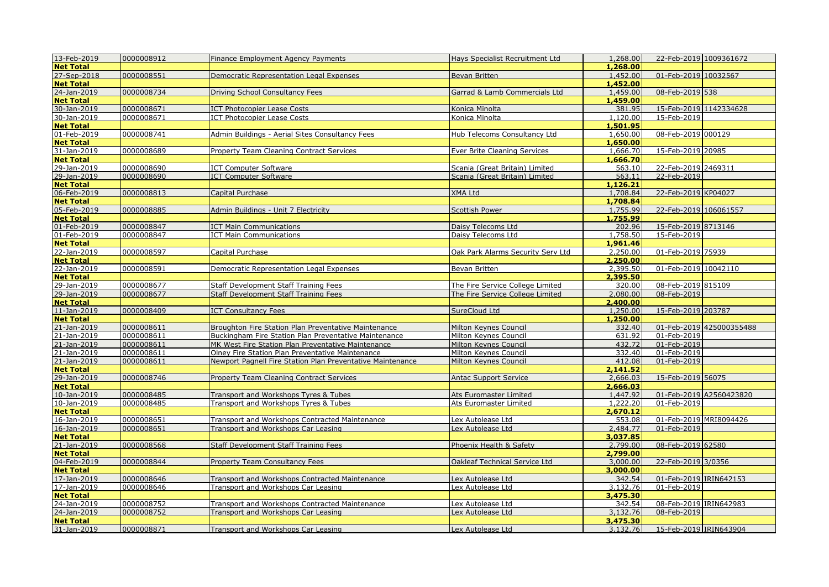| 13-Feb-2019              | 0000008912 | Finance Employment Agency Payments                         | Hays Specialist Recruitment Ltd   | 1,268.00 | 22-Feb-2019 1009361672 |                          |
|--------------------------|------------|------------------------------------------------------------|-----------------------------------|----------|------------------------|--------------------------|
| <b>Net Total</b>         |            |                                                            |                                   | 1,268,00 |                        |                          |
| 27-Sep-2018              | 0000008551 | Democratic Representation Legal Expenses                   | Bevan Britten                     | 1,452.00 | 01-Feb-2019 10032567   |                          |
| <b>Net Total</b>         |            |                                                            |                                   | 1,452.00 |                        |                          |
| 24-Jan-2019              | 0000008734 | Driving School Consultancy Fees                            | Garrad & Lamb Commercials Ltd     | 1,459.00 | 08-Feb-2019 538        |                          |
| <b>Net Total</b>         |            |                                                            |                                   | 1,459.00 |                        |                          |
| 30-Jan-2019              | 0000008671 | <b>ICT Photocopier Lease Costs</b>                         | Konica Minolta                    | 381.95   | 15-Feb-2019 1142334628 |                          |
| 30-Jan-2019              | 0000008671 | <b>ICT Photocopier Lease Costs</b>                         | Konica Minolta                    | 1,120.00 | 15-Feb-2019            |                          |
| <b>Net Total</b>         |            |                                                            |                                   | 1,501.95 |                        |                          |
| 01-Feb-2019              | 0000008741 | Admin Buildings - Aerial Sites Consultancy Fees            | Hub Telecoms Consultancy Ltd      | 1,650.00 | 08-Feb-2019 000129     |                          |
| <b>Net Total</b>         |            |                                                            |                                   | 1,650.00 |                        |                          |
| 31-Jan-2019              | 0000008689 | Property Team Cleaning Contract Services                   | Ever Brite Cleaning Services      | 1,666.70 | 15-Feb-2019 20985      |                          |
| <b>Net Total</b>         |            |                                                            |                                   | 1,666.70 |                        |                          |
| 29-Jan-2019              | 0000008690 | <b>ICT Computer Software</b>                               | Scania (Great Britain) Limited    | 563.10   | 22-Feb-2019 2469311    |                          |
| 29-Jan-2019              | 0000008690 | <b>ICT Computer Software</b>                               | Scania (Great Britain) Limited    | 563.11   | 22-Feb-2019            |                          |
| <b>Net Total</b>         |            |                                                            |                                   | 1,126.21 |                        |                          |
| 06-Feb-2019              | 0000008813 | Capital Purchase                                           | <b>XMA Ltd</b>                    | 1,708.84 | 22-Feb-2019 KP04027    |                          |
| <b>Net Total</b>         |            |                                                            |                                   | 1,708.84 |                        |                          |
| 05-Feb-2019              | 0000008885 | Admin Buildings - Unit 7 Electricity                       | <b>Scottish Power</b>             | 1,755.99 | 22-Feb-2019 106061557  |                          |
| <b>Net Total</b>         |            |                                                            |                                   | 1,755.99 |                        |                          |
| 01-Feb-2019              | 0000008847 | <b>ICT Main Communications</b>                             | Daisy Telecoms Ltd                | 202.96   | 15-Feb-2019 8713146    |                          |
| 01-Feb-2019              | 0000008847 | <b>ICT Main Communications</b>                             | Daisy Telecoms Ltd                | 1,758.50 | 15-Feb-2019            |                          |
| <b>Net Total</b>         |            |                                                            |                                   | 1,961.46 |                        |                          |
|                          | 0000008597 | Capital Purchase                                           | Oak Park Alarms Security Serv Ltd | 2,250.00 | 01-Feb-2019 75939      |                          |
| 22-Jan-2019<br>Net Total |            |                                                            |                                   | 2,250.00 |                        |                          |
| 22-Jan-2019              | 0000008591 | Democratic Representation Legal Expenses                   | Bevan Britten                     | 2,395.50 | 01-Feb-2019 10042110   |                          |
| <b>Net Total</b>         |            |                                                            |                                   | 2,395.50 |                        |                          |
| 29-Jan-2019              | 0000008677 | <b>Staff Development Staff Training Fees</b>               | The Fire Service College Limited  | 320.00   | 08-Feb-2019 815109     |                          |
| 29-Jan-2019              | 0000008677 | <b>Staff Development Staff Training Fees</b>               | The Fire Service College Limited  | 2,080.00 | 08-Feb-2019            |                          |
| <b>Net Total</b>         |            |                                                            |                                   | 2,400.00 |                        |                          |
| 11-Jan-2019              | 0000008409 | <b>ICT Consultancy Fees</b>                                | SureCloud Ltd                     | 1,250.00 | 15-Feb-2019 203787     |                          |
| <b>Net Total</b>         |            |                                                            |                                   | 1,250.00 |                        |                          |
| 21-Jan-2019              | 0000008611 | Broughton Fire Station Plan Preventative Maintenance       | Milton Keynes Council             | 332.40   |                        | 01-Feb-2019 425000355488 |
| 21-Jan-2019              | 0000008611 | Buckingham Fire Station Plan Preventative Maintenance      | Milton Keynes Council             | 631.92   | 01-Feb-2019            |                          |
| 21-Jan-2019              | 0000008611 | MK West Fire Station Plan Preventative Maintenance         | Milton Keynes Council             | 432.72   | 01-Feb-2019            |                          |
| 21-Jan-2019              | 0000008611 | Olney Fire Station Plan Preventative Maintenance           | Milton Keynes Council             | 332.40   | 01-Feb-2019            |                          |
| 21-Jan-2019              | 0000008611 | Newport Pagnell Fire Station Plan Preventative Maintenance | Milton Keynes Council             | 412.08   | 01-Feb-2019            |                          |
| <b>Net Total</b>         |            |                                                            |                                   | 2,141.52 |                        |                          |
| 29-Jan-2019              | 0000008746 | Property Team Cleaning Contract Services                   | <b>Antac Support Service</b>      | 2,666.03 | 15-Feb-2019 56075      |                          |
| <b>Net Total</b>         |            |                                                            |                                   | 2,666.03 |                        |                          |
| 10-Jan-2019              | 0000008485 | Transport and Workshops Tyres & Tubes                      | Ats Euromaster Limited            | 1,447.92 |                        | 01-Feb-2019 A2560423820  |
| 10-Jan-2019              | 0000008485 | Transport and Workshops Tyres & Tubes                      | Ats Euromaster Limited            | 1,222.20 | 01-Feb-2019            |                          |
| <b>Net Total</b>         |            |                                                            |                                   | 2,670.12 |                        |                          |
| 16-Jan-2019              | 0000008651 | Transport and Workshops Contracted Maintenance             | Lex Autolease Ltd                 | 553.08   |                        | 01-Feb-2019 MRI8094426   |
| 16-Jan-2019              | 0000008651 | Transport and Workshops Car Leasing                        | Lex Autolease Ltd                 | 2,484.77 | 01-Feb-2019            |                          |
| <b>Net Total</b>         |            |                                                            |                                   | 3,037.85 |                        |                          |
| 21-Jan-2019              | 0000008568 | <b>Staff Development Staff Training Fees</b>               | Phoenix Health & Safety           | 2,799.00 | 08-Feb-2019 62580      |                          |
| <b>Net Total</b>         |            |                                                            |                                   | 2,799.00 |                        |                          |
| 04-Feb-2019              | 0000008844 | Property Team Consultancy Fees                             | Oakleaf Technical Service Ltd     | 3,000.00 | 22-Feb-2019 3/0356     |                          |
| <b>Net Total</b>         |            |                                                            |                                   | 3,000.00 |                        |                          |
| 17-Jan-2019              | 0000008646 | Transport and Workshops Contracted Maintenance             | Lex Autolease Ltd                 | 342.54   | 01-Feb-2019 IRIN642153 |                          |
| 17-Jan-2019              | 0000008646 | Transport and Workshops Car Leasing                        | Lex Autolease Ltd                 | 3,132.76 | 01-Feb-2019            |                          |
| <b>Net Total</b>         |            |                                                            |                                   | 3,475.30 |                        |                          |
| 24-Jan-2019              | 0000008752 | Transport and Workshops Contracted Maintenance             | Lex Autolease Ltd                 | 342.54   | 08-Feb-2019 IRIN642983 |                          |
| 24-Jan-2019              | 0000008752 | Transport and Workshops Car Leasing                        |                                   | 3,132.76 | 08-Feb-2019            |                          |
| <b>Net Total</b>         |            |                                                            | Lex Autolease Ltd                 | 3,475.30 |                        |                          |
| 31-Jan-2019              |            |                                                            |                                   |          |                        |                          |
|                          | 0000008871 | Transport and Workshops Car Leasing                        | Lex Autolease Ltd                 | 3,132.76 | 15-Feb-2019 IRIN643904 |                          |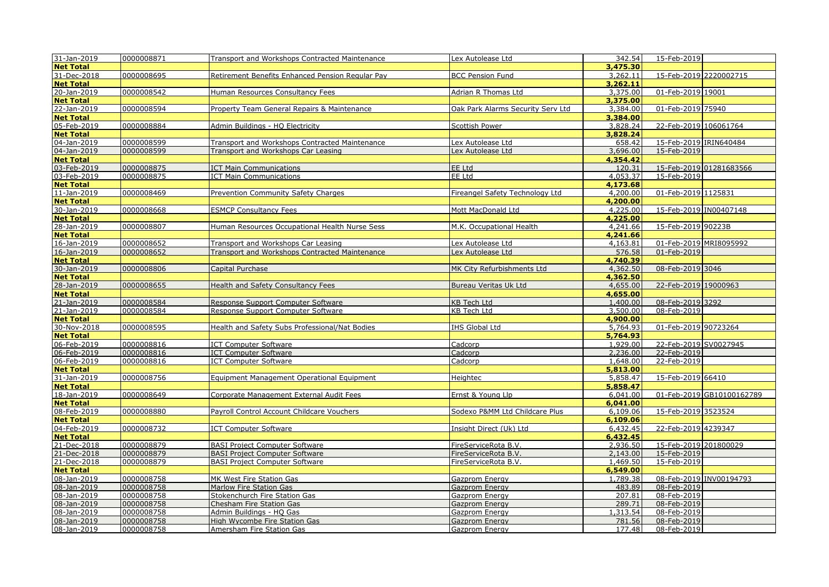| 31-Jan-2019                | 0000008871               | Transport and Workshops Contracted Maintenance            | Lex Autolease Ltd                 | 342.54           | 15-Feb-2019                |
|----------------------------|--------------------------|-----------------------------------------------------------|-----------------------------------|------------------|----------------------------|
| <b>Net Total</b>           |                          |                                                           |                                   | 3,475.30         |                            |
| 31-Dec-2018                | 0000008695               | Retirement Benefits Enhanced Pension Regular Pay          | <b>BCC Pension Fund</b>           | 3,262.11         | 15-Feb-2019 2220002715     |
| <b>Net Total</b>           |                          |                                                           |                                   | 3,262.11         |                            |
| 20-Jan-2019                | 0000008542               | Human Resources Consultancy Fees                          | Adrian R Thomas Ltd               | 3,375.00         | 01-Feb-2019 19001          |
| <b>Net Total</b>           |                          |                                                           |                                   | 3,375.00         |                            |
| 22-Jan-2019                | 0000008594               | Property Team General Repairs & Maintenance               | Oak Park Alarms Security Serv Ltd | 3,384,00         | 01-Feb-2019 75940          |
| <b>Net Total</b>           |                          |                                                           |                                   | 3,384.00         |                            |
| 05-Feb-2019                | 0000008884               | Admin Buildings - HQ Electricity                          | Scottish Power                    | 3,828.24         | 22-Feb-2019 106061764      |
| <b>Net Total</b>           |                          |                                                           |                                   | 3,828.24         |                            |
| 04-Jan-2019                | 0000008599               | Transport and Workshops Contracted Maintenance            | Lex Autolease Ltd                 | 658.42           | 15-Feb-2019 IRIN640484     |
| 04-Jan-2019                | 0000008599               | Transport and Workshops Car Leasing                       | Lex Autolease Ltd                 | 3,696.00         | 15-Feb-2019                |
| <b>Net Total</b>           |                          |                                                           |                                   | 4,354.42         |                            |
| 03-Feb-2019                | 0000008875               | <b>ICT Main Communications</b>                            | <b>EE Ltd</b>                     | 120.31           | 15-Feb-2019 01281683566    |
| 03-Feb-2019                | 0000008875               | <b>ICT Main Communications</b>                            | EE Ltd                            | 4,053.37         | 15-Feb-2019                |
| <b>Net Total</b>           |                          |                                                           |                                   | 4,173.68         |                            |
| 11-Jan-2019                | 0000008469               | Prevention Community Safety Charges                       | Fireangel Safety Technology Ltd   | 4,200.00         | 01-Feb-2019 1125831        |
| <b>Net Total</b>           |                          |                                                           |                                   | 4,200.00         |                            |
| 30-Jan-2019                | 0000008668               | <b>ESMCP Consultancy Fees</b>                             | Mott MacDonald Ltd                | 4,225.00         | 15-Feb-2019 IN00407148     |
| <b>Net Total</b>           |                          |                                                           |                                   | 4,225,00         |                            |
| 28-Jan-2019                | 0000008807               | Human Resources Occupational Health Nurse Sess            | M.K. Occupational Health          | 4,241.66         | 15-Feb-2019 90223B         |
| <b>Net Total</b>           |                          |                                                           |                                   | 4,241.66         |                            |
| 16-Jan-2019                | 0000008652               | Transport and Workshops Car Leasing                       | Lex Autolease Ltd                 | 4,163.81         | 01-Feb-2019 MRI8095992     |
| 16-Jan-2019                | 0000008652               | Transport and Workshops Contracted Maintenance            | Lex Autolease Ltd                 | 576.58           | 01-Feb-2019                |
| <b>Net Total</b>           |                          |                                                           |                                   | 4,740.39         |                            |
| 30-Jan-2019                | 0000008806               | Capital Purchase                                          | MK City Refurbishments Ltd        | 4,362.50         | 08-Feb-2019 3046           |
| <b>Net Total</b>           |                          |                                                           |                                   | 4,362.50         |                            |
| 28-Jan-2019                | 0000008655               | <b>Health and Safety Consultancy Fees</b>                 | Bureau Veritas Uk Ltd             | 4,655.00         | 22-Feb-2019 19000963       |
| <b>Net Total</b>           |                          |                                                           |                                   | 4,655.00         |                            |
| 21-Jan-2019                | 0000008584               | Response Support Computer Software                        | <b>KB Tech Ltd</b>                | 1,400.00         | 08-Feb-2019 3292           |
| 21-Jan-2019                | 0000008584               | Response Support Computer Software                        | <b>KB Tech Ltd</b>                | 3,500.00         | 08-Feb-2019                |
| <b>Net Total</b>           |                          |                                                           |                                   | 4,900.00         |                            |
| 30-Nov-2018                | 0000008595               | Health and Safety Subs Professional/Nat Bodies            | <b>IHS Global Ltd</b>             | 5,764.93         | 01-Feb-2019 90723264       |
| <b>Net Total</b>           |                          |                                                           |                                   | 5,764.93         |                            |
| 06-Feb-2019                | 0000008816               | <b>ICT Computer Software</b>                              | Cadcorp                           | 1,929.00         | 22-Feb-2019 SV0027945      |
| 06-Feb-2019                | 0000008816               | <b>ICT Computer Software</b>                              | Cadcorp                           | 2.236.00         | 22-Feb-2019                |
| 06-Feb-2019                | 0000008816               | <b>ICT Computer Software</b>                              | Cadcorp                           | 1,648.00         | 22-Feb-2019                |
| <b>Net Total</b>           |                          |                                                           |                                   | 5,813.00         |                            |
| 31-Jan-2019                | 0000008756               | Equipment Management Operational Equipment                | Heightec                          | 5,858.47         | 15-Feb-2019 66410          |
| <b>Net Total</b>           |                          |                                                           |                                   | 5,858.47         |                            |
| 18-Jan-2019                | 0000008649               | Corporate Management External Audit Fees                  | Ernst & Young Llp                 | 6,041.00         | 01-Feb-2019 GB10100162789  |
| <b>Net Total</b>           |                          |                                                           |                                   | 6,041.00         |                            |
| 08-Feb-2019                | 0000008880               | Payroll Control Account Childcare Vouchers                | Sodexo P&MM Ltd Childcare Plus    | 6,109.06         | 15-Feb-2019 3523524        |
| <b>Net Total</b>           |                          |                                                           |                                   | 6,109.06         |                            |
| 04-Feb-2019                | 0000008732               | <b>ICT Computer Software</b>                              | Insight Direct (Uk) Ltd           | 6,432.45         | 22-Feb-2019 4239347        |
| <b>Net Total</b>           |                          |                                                           |                                   | 6,432.45         |                            |
| 21-Dec-2018                | 0000008879               | <b>BASI Project Computer Software</b>                     | FireServiceRota B.V.              | 2,936.50         | 15-Feb-2019 201800029      |
| 21-Dec-2018                | 0000008879               | <b>BASI Project Computer Software</b>                     | FireServiceRota B.V.              | 2,143.00         | 15-Feb-2019                |
| 21-Dec-2018                | 0000008879               | <b>BASI Project Computer Software</b>                     | FireServiceRota B.V.              | 1,469.50         | 15-Feb-2019                |
| <b>Net Total</b>           |                          |                                                           |                                   | 6,549.00         |                            |
| 08-Jan-2019                | 0000008758               | MK West Fire Station Gas                                  | Gazprom Energy                    | 1,789.38         | 08-Feb-2019 INV00194793    |
| 08-Jan-2019                | 0000008758               | Marlow Fire Station Gas                                   | Gazprom Energy                    | 483.89           | 08-Feb-2019                |
| 08-Jan-2019                | 0000008758               | Stokenchurch Fire Station Gas                             | Gazprom Energy                    | 207.81<br>289.71 | 08-Feb-2019                |
| 08-Jan-2019                | 0000008758               | Chesham Fire Station Gas                                  | <b>Gazprom Energy</b>             | 1.313.54         | 08-Feb-2019                |
| 08-Jan-2019<br>08-Jan-2019 | 0000008758<br>0000008758 | Admin Buildings - HQ Gas<br>High Wycombe Fire Station Gas | Gazprom Energy                    | 781.56           | 08-Feb-2019<br>08-Feb-2019 |
| 08-Jan-2019                | 0000008758               | Amersham Fire Station Gas                                 | Gazprom Energy<br>Gazprom Energy  | 177.48           | 08-Feb-2019                |
|                            |                          |                                                           |                                   |                  |                            |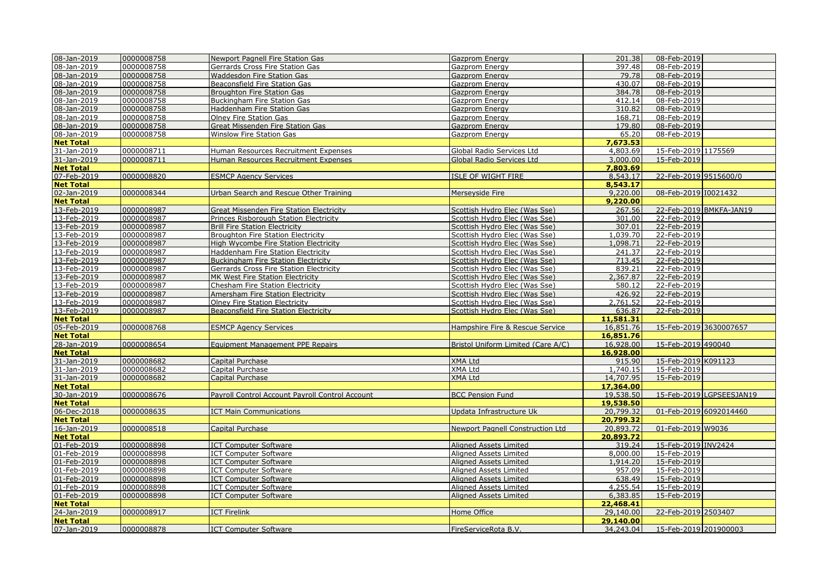| 08-Jan-2019      | 0000008758 | Newport Pagnell Fire Station Gas                | <b>Gazprom Energy</b>              | 201.38    | 08-Feb-2019           |                          |
|------------------|------------|-------------------------------------------------|------------------------------------|-----------|-----------------------|--------------------------|
| 08-Jan-2019      | 0000008758 | Gerrards Cross Fire Station Gas                 | Gazprom Energy                     | 397.48    | 08-Feb-2019           |                          |
| 08-Jan-2019      | 0000008758 | Waddesdon Fire Station Gas                      | Gazprom Energy                     | 79.78     | 08-Feb-2019           |                          |
| 08-Jan-2019      | 0000008758 | Beaconsfield Fire Station Gas                   | <b>Gazprom Energy</b>              | 430.07    | 08-Feb-2019           |                          |
| 08-Jan-2019      | 0000008758 | Broughton Fire Station Gas                      | Gazprom Energy                     | 384.78    | 08-Feb-2019           |                          |
| 08-Jan-2019      | 0000008758 | Buckingham Fire Station Gas                     | Gazprom Energy                     | 412.14    | 08-Feb-2019           |                          |
| 08-Jan-2019      | 0000008758 | Haddenham Fire Station Gas                      | Gazprom Energy                     | 310.82    | 08-Feb-2019           |                          |
| 08-Jan-2019      | 0000008758 | <b>Olney Fire Station Gas</b>                   | Gazprom Energy                     | 168.71    | 08-Feb-2019           |                          |
| 08-Jan-2019      | 0000008758 | Great Missenden Fire Station Gas                | Gazprom Energy                     | 179.80    | 08-Feb-2019           |                          |
| 08-Jan-2019      | 0000008758 | Winslow Fire Station Gas                        | Gazprom Energy                     | 65.20     | 08-Feb-2019           |                          |
| <b>Net Total</b> |            |                                                 |                                    | 7,673.53  |                       |                          |
| 31-Jan-2019      | 0000008711 | Human Resources Recruitment Expenses            | Global Radio Services Ltd          | 4,803.69  | 15-Feb-2019 1175569   |                          |
| 31-Jan-2019      | 0000008711 | Human Resources Recruitment Expenses            | Global Radio Services Ltd          | 3,000.00  | 15-Feb-2019           |                          |
| <b>Net Total</b> |            |                                                 |                                    | 7,803.69  |                       |                          |
| 07-Feb-2019      | 0000008820 | <b>ESMCP Agency Services</b>                    | ISLE OF WIGHT FIRE                 | 8,543.17  | 22-Feb-2019 9515600/0 |                          |
| <b>Net Total</b> |            |                                                 |                                    | 8,543.17  |                       |                          |
| 02-Jan-2019      | 0000008344 | Urban Search and Rescue Other Training          | Merseyside Fire                    | 9,220.00  | 08-Feb-2019 I0021432  |                          |
| <b>Net Total</b> |            |                                                 |                                    | 9,220.00  |                       |                          |
| 13-Feb-2019      | 0000008987 | Great Missenden Fire Station Electricity        | Scottish Hydro Elec (Was Sse)      | 267.56    |                       | 22-Feb-2019 BMKFA-JAN19  |
| 13-Feb-2019      | 0000008987 | Princes Risborough Station Electricity          | Scottish Hydro Elec (Was Sse)      | 301.00    | 22-Feb-2019           |                          |
| 13-Feb-2019      | 0000008987 | <b>Brill Fire Station Electricity</b>           | Scottish Hydro Elec (Was Sse)      | 307.01    | 22-Feb-2019           |                          |
| 13-Feb-2019      | 0000008987 | <b>Broughton Fire Station Electricity</b>       | Scottish Hydro Elec (Was Sse)      | 1,039.70  | 22-Feb-2019           |                          |
| 13-Feb-2019      | 0000008987 | High Wycombe Fire Station Electricity           | Scottish Hydro Elec (Was Sse)      | 1,098.71  | 22-Feb-2019           |                          |
| 13-Feb-2019      | 0000008987 | <b>Haddenham Fire Station Electricity</b>       | Scottish Hydro Elec (Was Sse)      | 241.37    | 22-Feb-2019           |                          |
| 13-Feb-2019      | 0000008987 | <b>Buckingham Fire Station Electricity</b>      | Scottish Hydro Elec (Was Sse)      | 713.45    | 22-Feb-2019           |                          |
| 13-Feb-2019      | 0000008987 | Gerrards Cross Fire Station Electricity         | Scottish Hydro Elec (Was Sse)      | 839.21    | 22-Feb-2019           |                          |
| 13-Feb-2019      | 0000008987 | MK West Fire Station Electricity                | Scottish Hydro Elec (Was Sse)      | 2,367.87  | 22-Feb-2019           |                          |
| 13-Feb-2019      | 0000008987 | Chesham Fire Station Electricity                | Scottish Hydro Elec (Was Sse)      | 580.12    | 22-Feb-2019           |                          |
| 13-Feb-2019      | 0000008987 | Amersham Fire Station Electricity               | Scottish Hydro Elec (Was Sse)      | 426.92    | 22-Feb-2019           |                          |
| 13-Feb-2019      | 0000008987 | <b>Olney Fire Station Electricity</b>           | Scottish Hydro Elec (Was Sse)      | 2,761.52  | 22-Feb-2019           |                          |
| 13-Feb-2019      | 0000008987 | Beaconsfield Fire Station Electricity           | Scottish Hydro Elec (Was Sse)      | 636.87    | 22-Feb-2019           |                          |
| <b>Net Total</b> |            |                                                 |                                    | 11,581.31 |                       |                          |
| 05-Feb-2019      | 0000008768 | <b>ESMCP Agency Services</b>                    | Hampshire Fire & Rescue Service    | 16,851.76 |                       | 15-Feb-2019 3630007657   |
| <b>Net Total</b> |            |                                                 |                                    | 16,851.76 |                       |                          |
| 28-Jan-2019      | 0000008654 | Equipment Management PPE Repairs                | Bristol Uniform Limited (Care A/C) | 16,928.00 | 15-Feb-2019 490040    |                          |
| <b>Net Total</b> |            |                                                 |                                    | 16,928.00 |                       |                          |
| 31-Jan-2019      | 0000008682 | Capital Purchase                                | <b>XMA Ltd</b>                     | 915.90    | 15-Feb-2019 K091123   |                          |
| 31-Jan-2019      | 0000008682 | Capital Purchase                                | <b>XMA Ltd</b>                     | 1,740.15  | 15-Feb-2019           |                          |
| 31-Jan-2019      | 0000008682 | <b>Capital Purchase</b>                         | <b>XMA Ltd</b>                     | 14,707.95 | 15-Feb-2019           |                          |
| <b>Net Total</b> |            |                                                 |                                    | 17,364.00 |                       |                          |
| 30-Jan-2019      | 0000008676 | Payroll Control Account Payroll Control Account | <b>BCC Pension Fund</b>            | 19,538.50 |                       | 15-Feb-2019 LGPSEESJAN19 |
| <b>Net Total</b> |            |                                                 |                                    | 19,538.50 |                       |                          |
| 06-Dec-2018      | 0000008635 | <b>ICT Main Communications</b>                  | Updata Infrastructure Uk           | 20,799.32 |                       | 01-Feb-2019 6092014460   |
| <b>Net Total</b> |            |                                                 |                                    | 20,799.32 |                       |                          |
| 16-Jan-2019      | 0000008518 | Capital Purchase                                | Newport Pagnell Construction Ltd   | 20,893.72 | 01-Feb-2019 W9036     |                          |
| <b>Net Total</b> |            |                                                 |                                    | 20,893.72 |                       |                          |
| 01-Feb-2019      | 0000008898 | <b>ICT Computer Software</b>                    | <b>Aligned Assets Limited</b>      | 319.24    | 15-Feb-2019 INV2424   |                          |
| 01-Feb-2019      | 0000008898 | <b>ICT Computer Software</b>                    | <b>Aligned Assets Limited</b>      | 8,000.00  | 15-Feb-2019           |                          |
| 01-Feb-2019      | 0000008898 | <b>ICT Computer Software</b>                    | Aligned Assets Limited             | 1,914.20  | 15-Feb-2019           |                          |
| 01-Feb-2019      | 0000008898 | <b>ICT Computer Software</b>                    | Aligned Assets Limited             | 957.09    | 15-Feb-2019           |                          |
| 01-Feb-2019      | 0000008898 | <b>ICT Computer Software</b>                    | <b>Aligned Assets Limited</b>      | 638.49    | 15-Feb-2019           |                          |
| 01-Feb-2019      | 0000008898 | ICT Computer Software                           | Aligned Assets Limited             | 4,255.54  | 15-Feb-2019           |                          |
| 01-Feb-2019      | 0000008898 | <b>ICT Computer Software</b>                    | Aligned Assets Limited             | 6,383.85  | 15-Feb-2019           |                          |
| <b>Net Total</b> |            |                                                 |                                    | 22,468.41 |                       |                          |
| 24-Jan-2019      | 0000008917 | <b>ICT Firelink</b>                             | Home Office                        | 29,140.00 | 22-Feb-2019 2503407   |                          |
| <b>Net Total</b> |            |                                                 |                                    | 29,140.00 |                       |                          |
| 07-Jan-2019      | 0000008878 | <b>ICT Computer Software</b>                    | FireServiceRota B.V.               | 34,243.04 | 15-Feb-2019 201900003 |                          |